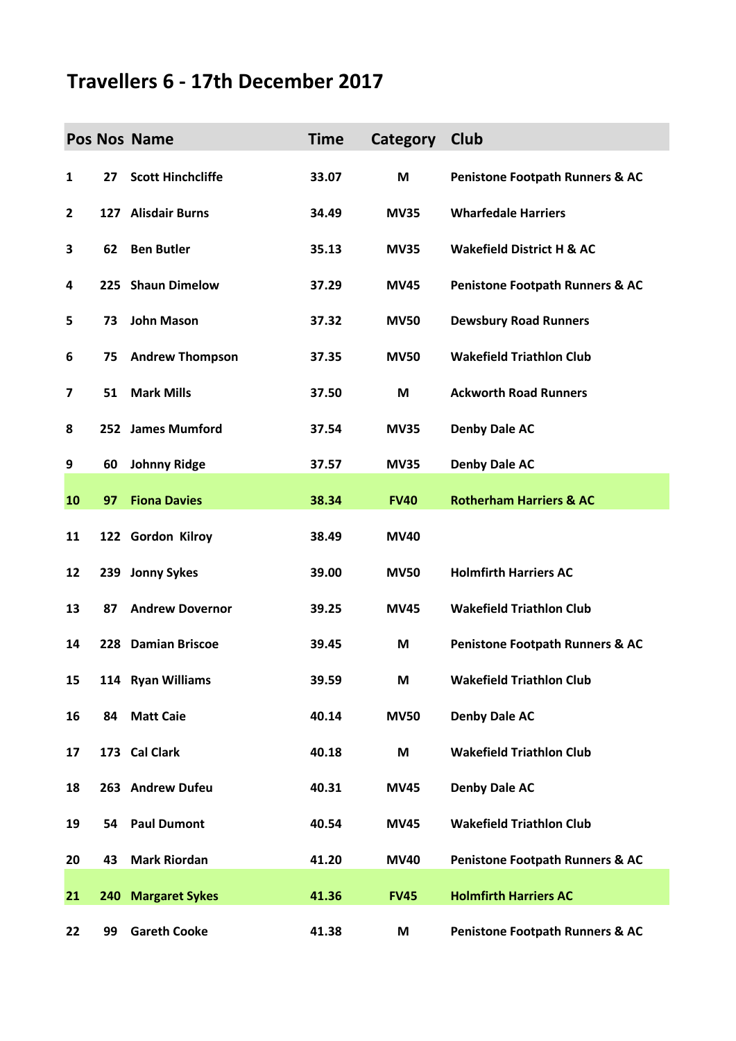## **Travellers 6 - 17th December 2017**

|              |    | Pos Nos Name             | <b>Time</b> | Category    | Club                                       |
|--------------|----|--------------------------|-------------|-------------|--------------------------------------------|
| 1            | 27 | <b>Scott Hinchcliffe</b> | 33.07       | M           | <b>Penistone Footpath Runners &amp; AC</b> |
| $\mathbf{2}$ |    | 127 Alisdair Burns       | 34.49       | <b>MV35</b> | <b>Wharfedale Harriers</b>                 |
| 3            | 62 | <b>Ben Butler</b>        | 35.13       | <b>MV35</b> | <b>Wakefield District H &amp; AC</b>       |
| 4            |    | 225 Shaun Dimelow        | 37.29       | <b>MV45</b> | <b>Penistone Footpath Runners &amp; AC</b> |
| 5            | 73 | <b>John Mason</b>        | 37.32       | <b>MV50</b> | <b>Dewsbury Road Runners</b>               |
| 6            | 75 | <b>Andrew Thompson</b>   | 37.35       | <b>MV50</b> | <b>Wakefield Triathlon Club</b>            |
| 7            | 51 | <b>Mark Mills</b>        | 37.50       | M           | <b>Ackworth Road Runners</b>               |
| 8            |    | 252 James Mumford        | 37.54       | <b>MV35</b> | <b>Denby Dale AC</b>                       |
| 9            | 60 | <b>Johnny Ridge</b>      | 37.57       | <b>MV35</b> | <b>Denby Dale AC</b>                       |
| 10           | 97 | <b>Fiona Davies</b>      | 38.34       | <b>FV40</b> | <b>Rotherham Harriers &amp; AC</b>         |
| 11           |    | 122 Gordon Kilroy        | 38.49       | <b>MV40</b> |                                            |
| 12           |    | 239 Jonny Sykes          | 39.00       | <b>MV50</b> | <b>Holmfirth Harriers AC</b>               |
| 13           | 87 | <b>Andrew Dovernor</b>   | 39.25       | <b>MV45</b> | <b>Wakefield Triathlon Club</b>            |
| 14           |    | 228 Damian Briscoe       | 39.45       | M           | <b>Penistone Footpath Runners &amp; AC</b> |
| 15           |    | 114 Ryan Williams        | 39.59       | M           | <b>Wakefield Triathlon Club</b>            |
| 16           | 84 | <b>Matt Caie</b>         | 40.14       | <b>MV50</b> | <b>Denby Dale AC</b>                       |
| 17           |    | 173 Cal Clark            | 40.18       | M           | <b>Wakefield Triathlon Club</b>            |
| 18           |    | 263 Andrew Dufeu         | 40.31       | <b>MV45</b> | <b>Denby Dale AC</b>                       |
| 19           | 54 | <b>Paul Dumont</b>       | 40.54       | <b>MV45</b> | <b>Wakefield Triathlon Club</b>            |
| 20           | 43 | <b>Mark Riordan</b>      | 41.20       | <b>MV40</b> | <b>Penistone Footpath Runners &amp; AC</b> |
| 21           |    | 240 Margaret Sykes       | 41.36       | <b>FV45</b> | <b>Holmfirth Harriers AC</b>               |
| 22           | 99 | <b>Gareth Cooke</b>      | 41.38       | M           | <b>Penistone Footpath Runners &amp; AC</b> |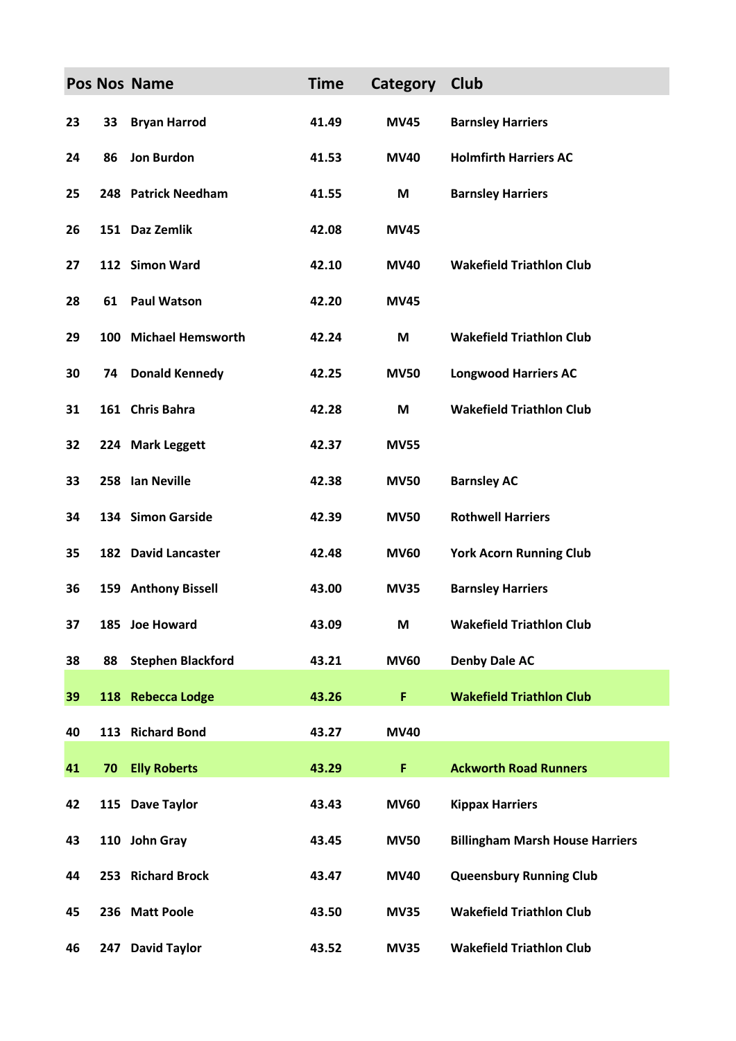|    |    | Pos Nos Name             | <b>Time</b> | Category    | Club                                   |
|----|----|--------------------------|-------------|-------------|----------------------------------------|
| 23 | 33 | <b>Bryan Harrod</b>      | 41.49       | <b>MV45</b> | <b>Barnsley Harriers</b>               |
| 24 | 86 | <b>Jon Burdon</b>        | 41.53       | <b>MV40</b> | <b>Holmfirth Harriers AC</b>           |
| 25 |    | 248 Patrick Needham      | 41.55       | M           | <b>Barnsley Harriers</b>               |
| 26 |    | 151 Daz Zemlik           | 42.08       | <b>MV45</b> |                                        |
| 27 |    | 112 Simon Ward           | 42.10       | <b>MV40</b> | <b>Wakefield Triathlon Club</b>        |
| 28 | 61 | <b>Paul Watson</b>       | 42.20       | <b>MV45</b> |                                        |
| 29 |    | 100 Michael Hemsworth    | 42.24       | M           | <b>Wakefield Triathlon Club</b>        |
| 30 | 74 | <b>Donald Kennedy</b>    | 42.25       | <b>MV50</b> | <b>Longwood Harriers AC</b>            |
| 31 |    | 161 Chris Bahra          | 42.28       | M           | <b>Wakefield Triathlon Club</b>        |
| 32 |    | 224 Mark Leggett         | 42.37       | <b>MV55</b> |                                        |
| 33 |    | 258 Ian Neville          | 42.38       | <b>MV50</b> | <b>Barnsley AC</b>                     |
| 34 |    | 134 Simon Garside        | 42.39       | <b>MV50</b> | <b>Rothwell Harriers</b>               |
| 35 |    | 182 David Lancaster      | 42.48       | <b>MV60</b> | <b>York Acorn Running Club</b>         |
| 36 |    | 159 Anthony Bissell      | 43.00       | <b>MV35</b> | <b>Barnsley Harriers</b>               |
| 37 |    | 185 Joe Howard           | 43.09       | M           | <b>Wakefield Triathlon Club</b>        |
| 38 | 88 | <b>Stephen Blackford</b> | 43.21       | <b>MV60</b> | <b>Denby Dale AC</b>                   |
| 39 |    | 118 Rebecca Lodge        | 43.26       | F           | <b>Wakefield Triathlon Club</b>        |
| 40 |    | 113 Richard Bond         | 43.27       | <b>MV40</b> |                                        |
| 41 | 70 | <b>Elly Roberts</b>      | 43.29       | F           | <b>Ackworth Road Runners</b>           |
| 42 |    | 115 Dave Taylor          | 43.43       | <b>MV60</b> | <b>Kippax Harriers</b>                 |
| 43 |    | 110 John Gray            | 43.45       | <b>MV50</b> | <b>Billingham Marsh House Harriers</b> |
| 44 |    | 253 Richard Brock        | 43.47       | <b>MV40</b> | <b>Queensbury Running Club</b>         |
| 45 |    | 236 Matt Poole           | 43.50       | <b>MV35</b> | <b>Wakefield Triathlon Club</b>        |
| 46 |    | 247 David Taylor         | 43.52       | <b>MV35</b> | <b>Wakefield Triathlon Club</b>        |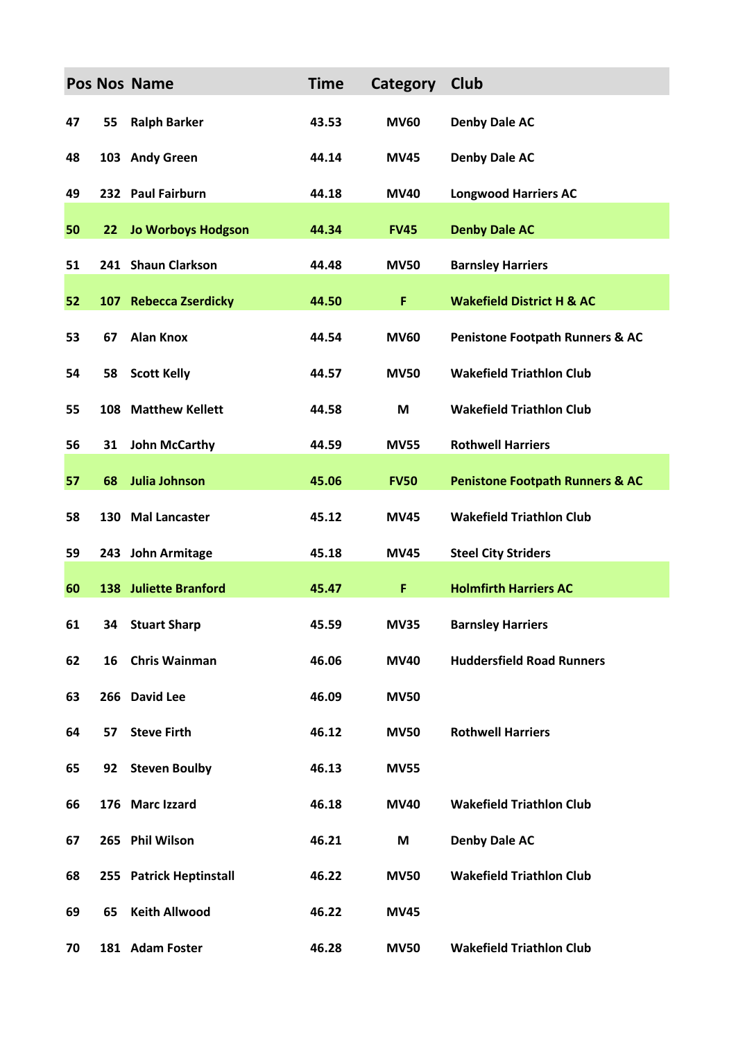|    |    | <b>Pos Nos Name</b>          | <b>Time</b> | <b>Category</b> | Club                                       |
|----|----|------------------------------|-------------|-----------------|--------------------------------------------|
| 47 | 55 | <b>Ralph Barker</b>          | 43.53       | <b>MV60</b>     | <b>Denby Dale AC</b>                       |
| 48 |    | 103 Andy Green               | 44.14       | <b>MV45</b>     | <b>Denby Dale AC</b>                       |
| 49 |    | 232 Paul Fairburn            | 44.18       | <b>MV40</b>     | <b>Longwood Harriers AC</b>                |
| 50 | 22 | <b>Jo Worboys Hodgson</b>    | 44.34       | <b>FV45</b>     | <b>Denby Dale AC</b>                       |
| 51 |    | 241 Shaun Clarkson           | 44.48       | <b>MV50</b>     | <b>Barnsley Harriers</b>                   |
| 52 |    | 107 Rebecca Zserdicky        | 44.50       | F               | <b>Wakefield District H &amp; AC</b>       |
| 53 | 67 | <b>Alan Knox</b>             | 44.54       | <b>MV60</b>     | <b>Penistone Footpath Runners &amp; AC</b> |
| 54 | 58 | <b>Scott Kelly</b>           | 44.57       | <b>MV50</b>     | <b>Wakefield Triathlon Club</b>            |
| 55 |    | 108 Matthew Kellett          | 44.58       | M               | <b>Wakefield Triathlon Club</b>            |
| 56 | 31 | <b>John McCarthy</b>         | 44.59       | <b>MV55</b>     | <b>Rothwell Harriers</b>                   |
| 57 | 68 | Julia Johnson                | 45.06       | <b>FV50</b>     | <b>Penistone Footpath Runners &amp; AC</b> |
| 58 |    | 130 Mal Lancaster            | 45.12       | <b>MV45</b>     | <b>Wakefield Triathlon Club</b>            |
| 59 |    | 243 John Armitage            | 45.18       | <b>MV45</b>     | <b>Steel City Striders</b>                 |
| 60 |    | <b>138 Juliette Branford</b> | 45.47       | F               | <b>Holmfirth Harriers AC</b>               |
| 61 |    | 34 Stuart Sharp              | 45.59       | <b>MV35</b>     | <b>Barnsley Harriers</b>                   |
| 62 | 16 | <b>Chris Wainman</b>         | 46.06       | <b>MV40</b>     | <b>Huddersfield Road Runners</b>           |
| 63 |    | 266 David Lee                | 46.09       | <b>MV50</b>     |                                            |
| 64 | 57 | <b>Steve Firth</b>           | 46.12       | <b>MV50</b>     | <b>Rothwell Harriers</b>                   |
| 65 | 92 | <b>Steven Boulby</b>         | 46.13       | <b>MV55</b>     |                                            |
| 66 |    | 176 Marc Izzard              | 46.18       | <b>MV40</b>     | <b>Wakefield Triathlon Club</b>            |
| 67 |    | 265 Phil Wilson              | 46.21       | M               | <b>Denby Dale AC</b>                       |
| 68 |    | 255 Patrick Heptinstall      | 46.22       | <b>MV50</b>     | <b>Wakefield Triathlon Club</b>            |
| 69 | 65 | <b>Keith Allwood</b>         | 46.22       | <b>MV45</b>     |                                            |
| 70 |    | 181 Adam Foster              | 46.28       | <b>MV50</b>     | <b>Wakefield Triathlon Club</b>            |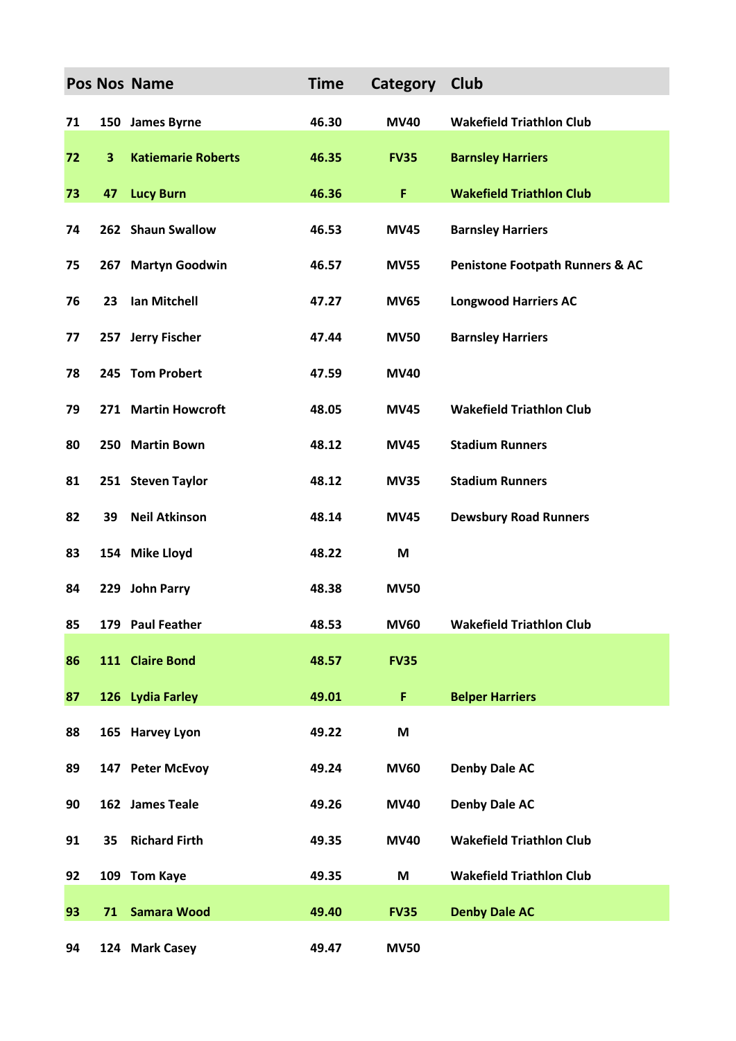|    |                         | Pos Nos Name              | <b>Time</b> | Category    | Club                                       |
|----|-------------------------|---------------------------|-------------|-------------|--------------------------------------------|
| 71 |                         | 150 James Byrne           | 46.30       | <b>MV40</b> | <b>Wakefield Triathlon Club</b>            |
| 72 | $\overline{\mathbf{3}}$ | <b>Katiemarie Roberts</b> | 46.35       | <b>FV35</b> | <b>Barnsley Harriers</b>                   |
| 73 | 47                      | <b>Lucy Burn</b>          | 46.36       | F.          | <b>Wakefield Triathlon Club</b>            |
| 74 |                         | 262 Shaun Swallow         | 46.53       | <b>MV45</b> | <b>Barnsley Harriers</b>                   |
| 75 | 267                     | <b>Martyn Goodwin</b>     | 46.57       | <b>MV55</b> | <b>Penistone Footpath Runners &amp; AC</b> |
| 76 | 23                      | Ian Mitchell              | 47.27       | <b>MV65</b> | <b>Longwood Harriers AC</b>                |
| 77 |                         | 257 Jerry Fischer         | 47.44       | <b>MV50</b> | <b>Barnsley Harriers</b>                   |
| 78 |                         | 245 Tom Probert           | 47.59       | <b>MV40</b> |                                            |
| 79 |                         | 271 Martin Howcroft       | 48.05       | <b>MV45</b> | <b>Wakefield Triathlon Club</b>            |
| 80 |                         | 250 Martin Bown           | 48.12       | <b>MV45</b> | <b>Stadium Runners</b>                     |
| 81 |                         | 251 Steven Taylor         | 48.12       | <b>MV35</b> | <b>Stadium Runners</b>                     |
| 82 | 39                      | <b>Neil Atkinson</b>      | 48.14       | <b>MV45</b> | <b>Dewsbury Road Runners</b>               |
| 83 |                         | 154 Mike Lloyd            | 48.22       | M           |                                            |
| 84 |                         | 229 John Parry            | 48.38       | <b>MV50</b> |                                            |
| 85 |                         | 179 Paul Feather          | 48.53       | <b>MV60</b> | <b>Wakefield Triathlon Club</b>            |
| 86 |                         | 111 Claire Bond           | 48.57       | <b>FV35</b> |                                            |
| 87 |                         | 126 Lydia Farley          | 49.01       | F           | <b>Belper Harriers</b>                     |
| 88 |                         | 165 Harvey Lyon           | 49.22       | M           |                                            |
| 89 |                         | 147 Peter McEvoy          | 49.24       | <b>MV60</b> | <b>Denby Dale AC</b>                       |
| 90 |                         | 162 James Teale           | 49.26       | <b>MV40</b> | <b>Denby Dale AC</b>                       |
| 91 | 35                      | <b>Richard Firth</b>      | 49.35       | <b>MV40</b> | <b>Wakefield Triathlon Club</b>            |
| 92 |                         | 109 Tom Kaye              | 49.35       | M           | <b>Wakefield Triathlon Club</b>            |
| 93 | 71                      | <b>Samara Wood</b>        | 49.40       | <b>FV35</b> | <b>Denby Dale AC</b>                       |
| 94 |                         | 124 Mark Casey            | 49.47       | <b>MV50</b> |                                            |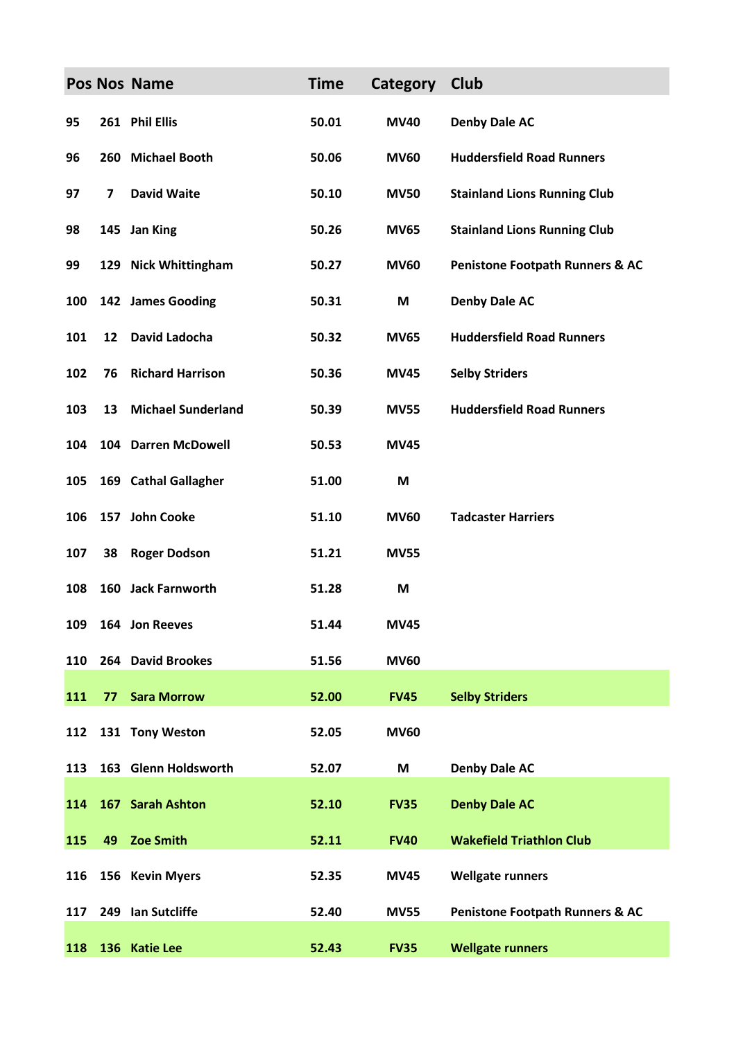|     |    | Pos Nos Name              | <b>Time</b> | Category    | Club                                       |
|-----|----|---------------------------|-------------|-------------|--------------------------------------------|
| 95  |    | 261 Phil Ellis            | 50.01       | <b>MV40</b> | <b>Denby Dale AC</b>                       |
| 96  |    | 260 Michael Booth         | 50.06       | <b>MV60</b> | <b>Huddersfield Road Runners</b>           |
| 97  | 7  | <b>David Waite</b>        | 50.10       | <b>MV50</b> | <b>Stainland Lions Running Club</b>        |
| 98  |    | 145 Jan King              | 50.26       | <b>MV65</b> | <b>Stainland Lions Running Club</b>        |
| 99  |    | 129 Nick Whittingham      | 50.27       | <b>MV60</b> | <b>Penistone Footpath Runners &amp; AC</b> |
| 100 |    | 142 James Gooding         | 50.31       | M           | <b>Denby Dale AC</b>                       |
| 101 | 12 | David Ladocha             | 50.32       | <b>MV65</b> | <b>Huddersfield Road Runners</b>           |
| 102 | 76 | <b>Richard Harrison</b>   | 50.36       | <b>MV45</b> | <b>Selby Striders</b>                      |
| 103 | 13 | <b>Michael Sunderland</b> | 50.39       | <b>MV55</b> | <b>Huddersfield Road Runners</b>           |
| 104 |    | 104 Darren McDowell       | 50.53       | <b>MV45</b> |                                            |
| 105 |    | 169 Cathal Gallagher      | 51.00       | M           |                                            |
| 106 |    | 157 John Cooke            | 51.10       | <b>MV60</b> | <b>Tadcaster Harriers</b>                  |
| 107 | 38 | <b>Roger Dodson</b>       | 51.21       | <b>MV55</b> |                                            |
| 108 |    | 160 Jack Farnworth        | 51.28       | M           |                                            |
| 109 |    | 164 Jon Reeves            | 51.44       | <b>MV45</b> |                                            |
| 110 |    | 264 David Brookes         | 51.56       | <b>MV60</b> |                                            |
| 111 | 77 | <b>Sara Morrow</b>        | 52.00       | <b>FV45</b> | <b>Selby Striders</b>                      |
| 112 |    | 131 Tony Weston           | 52.05       | <b>MV60</b> |                                            |
| 113 |    | 163 Glenn Holdsworth      | 52.07       | M           | <b>Denby Dale AC</b>                       |
| 114 |    | 167 Sarah Ashton          | 52.10       | <b>FV35</b> | <b>Denby Dale AC</b>                       |
| 115 | 49 | <b>Zoe Smith</b>          | 52.11       | <b>FV40</b> | <b>Wakefield Triathlon Club</b>            |
| 116 |    | 156 Kevin Myers           | 52.35       | <b>MV45</b> | <b>Wellgate runners</b>                    |
| 117 |    | 249 Ian Sutcliffe         | 52.40       | <b>MV55</b> | <b>Penistone Footpath Runners &amp; AC</b> |
| 118 |    | 136 Katie Lee             | 52.43       | <b>FV35</b> | <b>Wellgate runners</b>                    |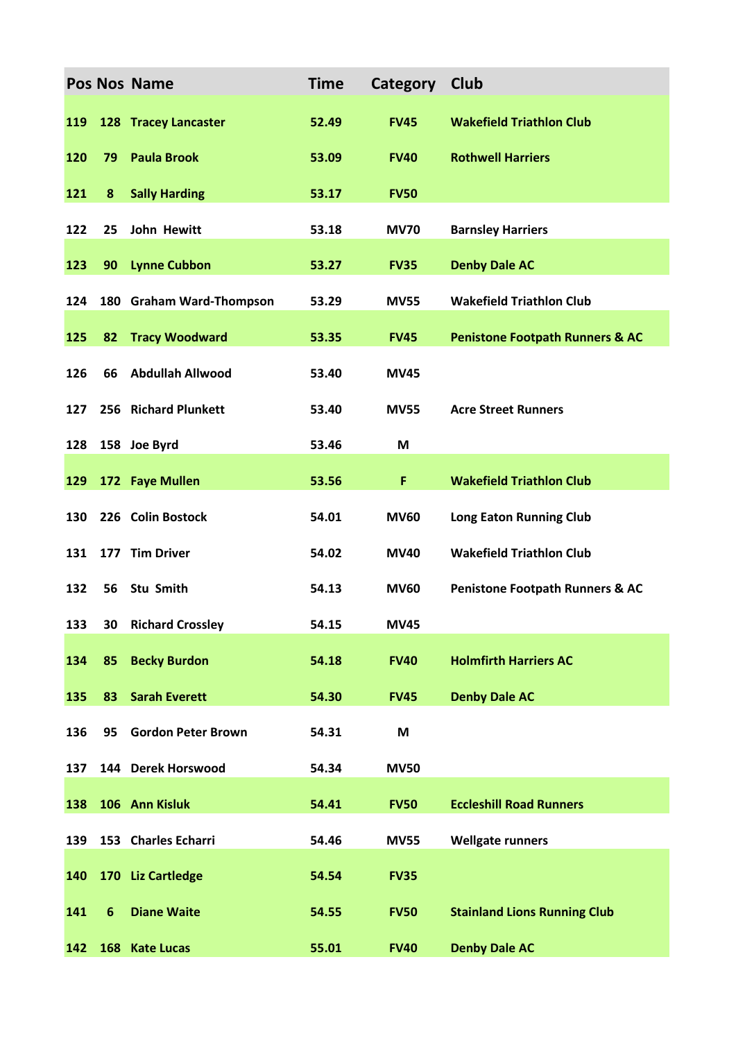|     |                | Pos Nos Name                | <b>Time</b> | Category    | <b>Club</b>                                |
|-----|----------------|-----------------------------|-------------|-------------|--------------------------------------------|
| 119 |                | <b>128 Tracey Lancaster</b> | 52.49       | <b>FV45</b> | <b>Wakefield Triathlon Club</b>            |
| 120 | 79             | <b>Paula Brook</b>          | 53.09       | <b>FV40</b> | <b>Rothwell Harriers</b>                   |
| 121 | 8              | <b>Sally Harding</b>        | 53.17       | <b>FV50</b> |                                            |
| 122 | 25             | John Hewitt                 | 53.18       | <b>MV70</b> | <b>Barnsley Harriers</b>                   |
| 123 | 90             | <b>Lynne Cubbon</b>         | 53.27       | <b>FV35</b> | <b>Denby Dale AC</b>                       |
| 124 |                | 180 Graham Ward-Thompson    | 53.29       | <b>MV55</b> | <b>Wakefield Triathlon Club</b>            |
| 125 | 82             | <b>Tracy Woodward</b>       | 53.35       | <b>FV45</b> | <b>Penistone Footpath Runners &amp; AC</b> |
| 126 | 66             | <b>Abdullah Allwood</b>     | 53.40       | <b>MV45</b> |                                            |
| 127 |                | 256 Richard Plunkett        | 53.40       | <b>MV55</b> | <b>Acre Street Runners</b>                 |
| 128 |                | 158 Joe Byrd                | 53.46       | M           |                                            |
| 129 |                | 172 Faye Mullen             | 53.56       | F           | <b>Wakefield Triathlon Club</b>            |
| 130 |                | 226 Colin Bostock           | 54.01       | <b>MV60</b> | <b>Long Eaton Running Club</b>             |
| 131 |                | 177 Tim Driver              | 54.02       | <b>MV40</b> | <b>Wakefield Triathlon Club</b>            |
| 132 | 56             | Stu Smith                   | 54.13       | <b>MV60</b> | <b>Penistone Footpath Runners &amp; AC</b> |
| 133 |                | <b>30 Richard Crossley</b>  | 54.15       | <b>MV45</b> |                                            |
| 134 | 85             | <b>Becky Burdon</b>         | 54.18       | <b>FV40</b> | <b>Holmfirth Harriers AC</b>               |
| 135 | 83             | <b>Sarah Everett</b>        | 54.30       | <b>FV45</b> | <b>Denby Dale AC</b>                       |
| 136 | 95             | <b>Gordon Peter Brown</b>   | 54.31       | M           |                                            |
| 137 |                | 144 Derek Horswood          | 54.34       | <b>MV50</b> |                                            |
| 138 |                | 106 Ann Kisluk              | 54.41       | <b>FV50</b> | <b>Eccleshill Road Runners</b>             |
| 139 |                | 153 Charles Echarri         | 54.46       | <b>MV55</b> | <b>Wellgate runners</b>                    |
| 140 |                | 170 Liz Cartledge           | 54.54       | <b>FV35</b> |                                            |
| 141 | $6\phantom{1}$ | <b>Diane Waite</b>          | 54.55       | <b>FV50</b> | <b>Stainland Lions Running Club</b>        |
| 142 |                | 168 Kate Lucas              | 55.01       | <b>FV40</b> | <b>Denby Dale AC</b>                       |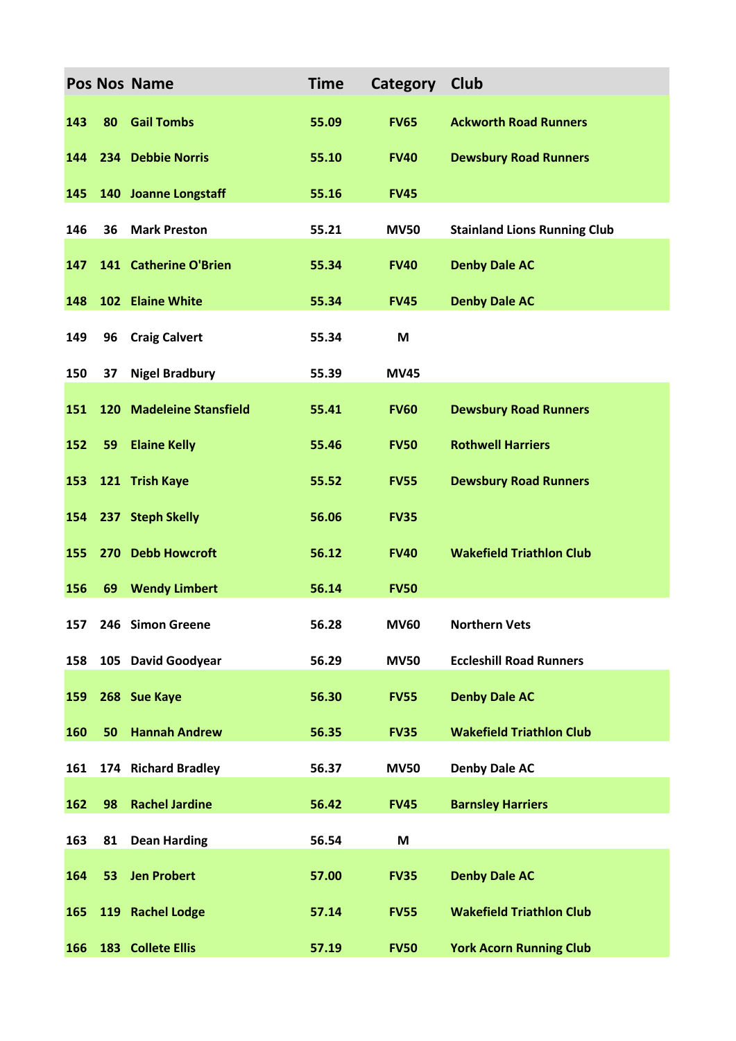|     |    | Pos Nos Name             | <b>Time</b> | Category    | <b>Club</b>                         |
|-----|----|--------------------------|-------------|-------------|-------------------------------------|
| 143 | 80 | <b>Gail Tombs</b>        | 55.09       | <b>FV65</b> | <b>Ackworth Road Runners</b>        |
| 144 |    | 234 Debbie Norris        | 55.10       | <b>FV40</b> | <b>Dewsbury Road Runners</b>        |
| 145 |    | 140 Joanne Longstaff     | 55.16       | <b>FV45</b> |                                     |
| 146 | 36 | <b>Mark Preston</b>      | 55.21       | <b>MV50</b> | <b>Stainland Lions Running Club</b> |
| 147 |    | 141 Catherine O'Brien    | 55.34       | <b>FV40</b> | <b>Denby Dale AC</b>                |
| 148 |    | 102 Elaine White         | 55.34       | <b>FV45</b> | <b>Denby Dale AC</b>                |
| 149 | 96 | <b>Craig Calvert</b>     | 55.34       | M           |                                     |
| 150 | 37 | <b>Nigel Bradbury</b>    | 55.39       | <b>MV45</b> |                                     |
| 151 |    | 120 Madeleine Stansfield | 55.41       | <b>FV60</b> | <b>Dewsbury Road Runners</b>        |
| 152 | 59 | <b>Elaine Kelly</b>      | 55.46       | <b>FV50</b> | <b>Rothwell Harriers</b>            |
| 153 |    | 121 Trish Kaye           | 55.52       | <b>FV55</b> | <b>Dewsbury Road Runners</b>        |
| 154 |    | 237 Steph Skelly         | 56.06       | <b>FV35</b> |                                     |
| 155 |    | 270 Debb Howcroft        | 56.12       | <b>FV40</b> | <b>Wakefield Triathlon Club</b>     |
| 156 | 69 | <b>Wendy Limbert</b>     | 56.14       | <b>FV50</b> |                                     |
| 157 |    | 246 Simon Greene         | 56.28       | <b>MV60</b> | <b>Northern Vets</b>                |
| 158 |    | 105 David Goodyear       | 56.29       | <b>MV50</b> | <b>Eccleshill Road Runners</b>      |
| 159 |    | 268 Sue Kaye             | 56.30       | <b>FV55</b> | <b>Denby Dale AC</b>                |
| 160 | 50 | <b>Hannah Andrew</b>     | 56.35       | <b>FV35</b> | <b>Wakefield Triathlon Club</b>     |
| 161 |    | 174 Richard Bradley      | 56.37       | <b>MV50</b> | <b>Denby Dale AC</b>                |
| 162 | 98 | <b>Rachel Jardine</b>    | 56.42       | <b>FV45</b> | <b>Barnsley Harriers</b>            |
| 163 | 81 | <b>Dean Harding</b>      | 56.54       | M           |                                     |
| 164 | 53 | <b>Jen Probert</b>       | 57.00       | <b>FV35</b> | <b>Denby Dale AC</b>                |
| 165 |    | 119 Rachel Lodge         | 57.14       | <b>FV55</b> | <b>Wakefield Triathlon Club</b>     |
| 166 |    | 183 Collete Ellis        | 57.19       | <b>FV50</b> | <b>York Acorn Running Club</b>      |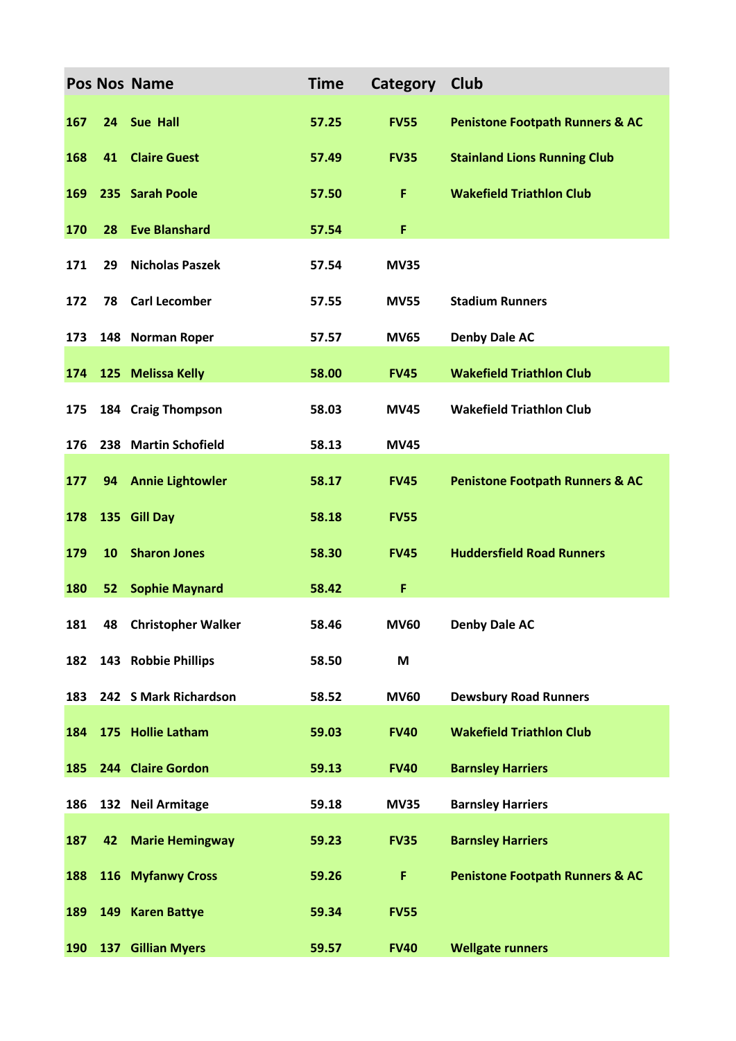|     |    | <b>Pos Nos Name</b>     | <b>Time</b> | Category    | <b>Club</b>                                |
|-----|----|-------------------------|-------------|-------------|--------------------------------------------|
| 167 | 24 | <b>Sue Hall</b>         | 57.25       | <b>FV55</b> | <b>Penistone Footpath Runners &amp; AC</b> |
| 168 | 41 | <b>Claire Guest</b>     | 57.49       | <b>FV35</b> | <b>Stainland Lions Running Club</b>        |
| 169 |    | 235 Sarah Poole         | 57.50       | F           | <b>Wakefield Triathlon Club</b>            |
| 170 | 28 | <b>Eve Blanshard</b>    | 57.54       | F           |                                            |
| 171 | 29 | <b>Nicholas Paszek</b>  | 57.54       | <b>MV35</b> |                                            |
| 172 | 78 | <b>Carl Lecomber</b>    | 57.55       | <b>MV55</b> | <b>Stadium Runners</b>                     |
| 173 |    | 148 Norman Roper        | 57.57       | <b>MV65</b> | <b>Denby Dale AC</b>                       |
| 174 |    | 125 Melissa Kelly       | 58.00       | <b>FV45</b> | <b>Wakefield Triathlon Club</b>            |
| 175 |    | 184 Craig Thompson      | 58.03       | <b>MV45</b> | <b>Wakefield Triathlon Club</b>            |
| 176 |    | 238 Martin Schofield    | 58.13       | <b>MV45</b> |                                            |
| 177 | 94 | <b>Annie Lightowler</b> | 58.17       | <b>FV45</b> | <b>Penistone Footpath Runners &amp; AC</b> |
| 178 |    | 135 Gill Day            | 58.18       | <b>FV55</b> |                                            |
| 179 | 10 | <b>Sharon Jones</b>     | 58.30       | <b>FV45</b> | <b>Huddersfield Road Runners</b>           |
| 180 | 52 | <b>Sophie Maynard</b>   | 58.42       | F           |                                            |
| 181 |    | 48 Christopher Walker   | 58.46       | <b>MV60</b> | <b>Denby Dale AC</b>                       |
| 182 |    | 143 Robbie Phillips     | 58.50       | M           |                                            |
| 183 |    | 242 S Mark Richardson   | 58.52       | <b>MV60</b> | <b>Dewsbury Road Runners</b>               |
| 184 |    | 175 Hollie Latham       | 59.03       | <b>FV40</b> | <b>Wakefield Triathlon Club</b>            |
| 185 |    | 244 Claire Gordon       | 59.13       | <b>FV40</b> | <b>Barnsley Harriers</b>                   |
| 186 |    | 132 Neil Armitage       | 59.18       | <b>MV35</b> | <b>Barnsley Harriers</b>                   |
| 187 | 42 | <b>Marie Hemingway</b>  | 59.23       | <b>FV35</b> | <b>Barnsley Harriers</b>                   |
| 188 |    | 116 Myfanwy Cross       | 59.26       | F           | <b>Penistone Footpath Runners &amp; AC</b> |
| 189 |    | 149 Karen Battye        | 59.34       | <b>FV55</b> |                                            |
| 190 |    | 137 Gillian Myers       | 59.57       | <b>FV40</b> | <b>Wellgate runners</b>                    |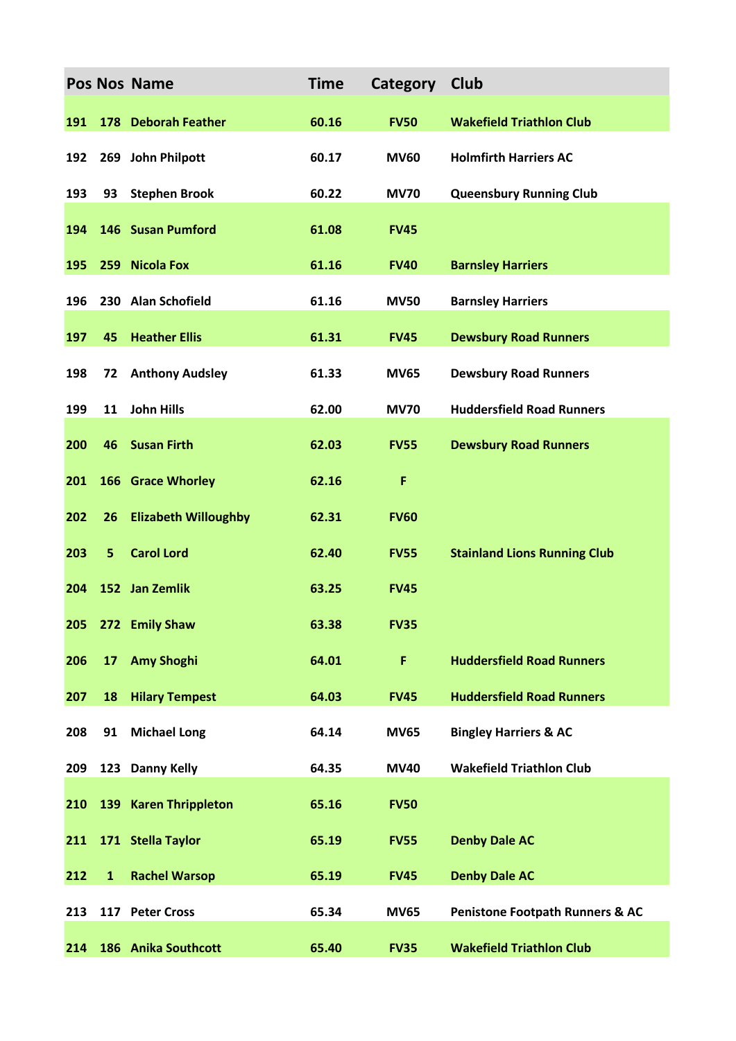|     |                | Pos Nos Name                | <b>Time</b> | Category    | Club                                       |
|-----|----------------|-----------------------------|-------------|-------------|--------------------------------------------|
| 191 |                | 178 Deborah Feather         | 60.16       | <b>FV50</b> | <b>Wakefield Triathlon Club</b>            |
| 192 |                | 269 John Philpott           | 60.17       | <b>MV60</b> | <b>Holmfirth Harriers AC</b>               |
| 193 | 93             | <b>Stephen Brook</b>        | 60.22       | <b>MV70</b> | <b>Queensbury Running Club</b>             |
| 194 |                | 146 Susan Pumford           | 61.08       | <b>FV45</b> |                                            |
| 195 |                | 259 Nicola Fox              | 61.16       | <b>FV40</b> | <b>Barnsley Harriers</b>                   |
| 196 |                | 230 Alan Schofield          | 61.16       | <b>MV50</b> | <b>Barnsley Harriers</b>                   |
| 197 | 45             | <b>Heather Ellis</b>        | 61.31       | <b>FV45</b> | <b>Dewsbury Road Runners</b>               |
| 198 | 72             | <b>Anthony Audsley</b>      | 61.33       | <b>MV65</b> | <b>Dewsbury Road Runners</b>               |
| 199 | 11             | <b>John Hills</b>           | 62.00       | <b>MV70</b> | <b>Huddersfield Road Runners</b>           |
| 200 | 46             | <b>Susan Firth</b>          | 62.03       | <b>FV55</b> | <b>Dewsbury Road Runners</b>               |
| 201 |                | <b>166 Grace Whorley</b>    | 62.16       | F           |                                            |
| 202 | 26             | <b>Elizabeth Willoughby</b> | 62.31       | <b>FV60</b> |                                            |
| 203 | 5 <sub>5</sub> | <b>Carol Lord</b>           | 62.40       | <b>FV55</b> | <b>Stainland Lions Running Club</b>        |
| 204 |                | 152 Jan Zemlik              | 63.25       | <b>FV45</b> |                                            |
| 205 |                | 272 Emily Shaw              | 63.38       | <b>FV35</b> |                                            |
| 206 | 17             | <b>Amy Shoghi</b>           | 64.01       | F           | <b>Huddersfield Road Runners</b>           |
| 207 | 18             | <b>Hilary Tempest</b>       | 64.03       | <b>FV45</b> | <b>Huddersfield Road Runners</b>           |
| 208 | 91             | <b>Michael Long</b>         | 64.14       | <b>MV65</b> | <b>Bingley Harriers &amp; AC</b>           |
| 209 |                | 123 Danny Kelly             | 64.35       | <b>MV40</b> | <b>Wakefield Triathlon Club</b>            |
| 210 |                | 139 Karen Thrippleton       | 65.16       | <b>FV50</b> |                                            |
| 211 |                | 171 Stella Taylor           | 65.19       | <b>FV55</b> | <b>Denby Dale AC</b>                       |
| 212 | $\mathbf{1}$   | <b>Rachel Warsop</b>        | 65.19       | <b>FV45</b> | <b>Denby Dale AC</b>                       |
| 213 |                | 117 Peter Cross             | 65.34       | <b>MV65</b> | <b>Penistone Footpath Runners &amp; AC</b> |
| 214 |                | 186 Anika Southcott         | 65.40       | <b>FV35</b> | <b>Wakefield Triathlon Club</b>            |